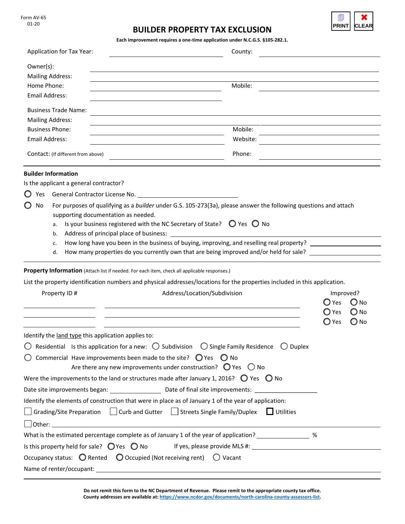Form AV-65 01-20

## **BUILDER PROPERTY TAX EXCLUSION**

1 **PRINT** ✖ **CLEAR**

**Each improvement requires a one-time application under N.C.G.S. §105-282.1.** 

| Application for Tax Year:                                                                                                                                                                                                                                                                                                                                                                                                                                                                                                                                                                                                                                                              | County:          |                                                                                                           |
|----------------------------------------------------------------------------------------------------------------------------------------------------------------------------------------------------------------------------------------------------------------------------------------------------------------------------------------------------------------------------------------------------------------------------------------------------------------------------------------------------------------------------------------------------------------------------------------------------------------------------------------------------------------------------------------|------------------|-----------------------------------------------------------------------------------------------------------|
| Owner(s):<br><b>Mailing Address:</b><br>Home Phone:<br><b>Email Address:</b>                                                                                                                                                                                                                                                                                                                                                                                                                                                                                                                                                                                                           | Mobile:          |                                                                                                           |
| <b>Business Trade Name:</b><br><b>Mailing Address:</b>                                                                                                                                                                                                                                                                                                                                                                                                                                                                                                                                                                                                                                 |                  |                                                                                                           |
| <b>Business Phone:</b>                                                                                                                                                                                                                                                                                                                                                                                                                                                                                                                                                                                                                                                                 | Mobile:          |                                                                                                           |
| Email Address:                                                                                                                                                                                                                                                                                                                                                                                                                                                                                                                                                                                                                                                                         | Website:         |                                                                                                           |
| Contact: (If different from above)                                                                                                                                                                                                                                                                                                                                                                                                                                                                                                                                                                                                                                                     | Phone:           |                                                                                                           |
| <b>Builder Information</b><br>Is the applicant a general contractor?<br>General Contractor License No. <b>Example 20</b> Seneral Contractor<br>Yes<br>For purposes of qualifying as a builder under G.S. 105-273(3a), please answer the following questions and attach<br>No<br>supporting documentation as needed.<br>Is your business registered with the NC Secretary of State? $\bigcirc$ Yes $\bigcirc$ No<br>a.<br>Address of principal place of business:<br>b.<br>How long have you been in the business of buying, improving, and reselling real property?<br>c.<br>How many properties do you currently own that are being improved and/or held for sale? ____________<br>d. |                  |                                                                                                           |
| Property Information (Attach list if needed. For each item, check all applicable responses.)                                                                                                                                                                                                                                                                                                                                                                                                                                                                                                                                                                                           |                  |                                                                                                           |
| List the property identification numbers and physical addresses/locations for the properties included in this application.                                                                                                                                                                                                                                                                                                                                                                                                                                                                                                                                                             |                  |                                                                                                           |
| Property ID#<br>Address/Location/Subdivision                                                                                                                                                                                                                                                                                                                                                                                                                                                                                                                                                                                                                                           |                  | Improved?<br>$\bigcirc$ Yes<br>$\bigcirc$ No<br>$\bigcirc$ Yes<br>$\bigcirc$ No<br>$\bigcirc$ No<br>◯ Yes |
| Identify the land type this application applies to:                                                                                                                                                                                                                                                                                                                                                                                                                                                                                                                                                                                                                                    |                  |                                                                                                           |
| Residential Is this application for a new: $\bigcirc$ Subdivision $\bigcirc$ Single Family Residence $\bigcirc$ Duplex                                                                                                                                                                                                                                                                                                                                                                                                                                                                                                                                                                 |                  |                                                                                                           |
| Commercial Have improvements been made to the site? $\bigcirc$ Yes $\bigcirc$ No<br>Are there any new improvements under construction? $\bigcirc$ Yes $\bigcirc$ No                                                                                                                                                                                                                                                                                                                                                                                                                                                                                                                    |                  |                                                                                                           |
| Were the improvements to the land or structures made after January 1, 2016? $\bigcirc$ Yes $\bigcirc$ No                                                                                                                                                                                                                                                                                                                                                                                                                                                                                                                                                                               |                  |                                                                                                           |
| Date site improvements began: ___________________________Date of final site improvements: ____________________                                                                                                                                                                                                                                                                                                                                                                                                                                                                                                                                                                         |                  |                                                                                                           |
| Identify the elements of construction that were in place as of January 1 of the year of application:                                                                                                                                                                                                                                                                                                                                                                                                                                                                                                                                                                                   |                  |                                                                                                           |
| Grading/Site Preparation $\Box$ Curb and Gutter $\Box$ Streets Single Family/Duplex                                                                                                                                                                                                                                                                                                                                                                                                                                                                                                                                                                                                    | $\Box$ Utilities |                                                                                                           |
| What is the estimated percentage complete as of January 1 of the year of application? _______________ %                                                                                                                                                                                                                                                                                                                                                                                                                                                                                                                                                                                |                  |                                                                                                           |
|                                                                                                                                                                                                                                                                                                                                                                                                                                                                                                                                                                                                                                                                                        |                  |                                                                                                           |
| Occupancy status: $\bigcirc$ Rented $\bigcirc$ Occupied (Not receiving rent) $\bigcirc$ Vacant                                                                                                                                                                                                                                                                                                                                                                                                                                                                                                                                                                                         |                  |                                                                                                           |
| Name of renter/occupant:                                                                                                                                                                                                                                                                                                                                                                                                                                                                                                                                                                                                                                                               |                  |                                                                                                           |